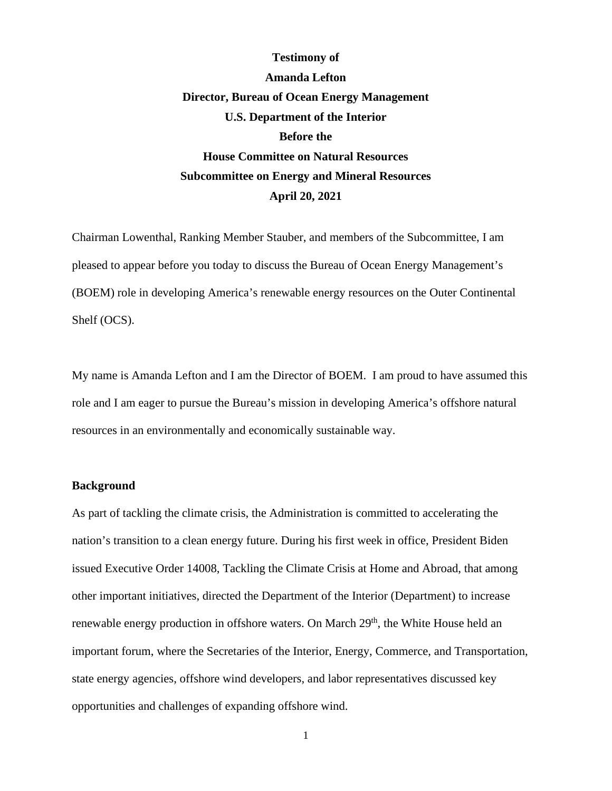## **Testimony of Amanda Lefton Director, Bureau of Ocean Energy Management U.S. Department of the Interior Before the House Committee on Natural Resources Subcommittee on Energy and Mineral Resources April 20, 2021**

Chairman Lowenthal, Ranking Member Stauber, and members of the Subcommittee, I am pleased to appear before you today to discuss the Bureau of Ocean Energy Management's (BOEM) role in developing America's renewable energy resources on the Outer Continental Shelf (OCS).

My name is Amanda Lefton and I am the Director of BOEM. I am proud to have assumed this role and I am eager to pursue the Bureau's mission in developing America's offshore natural resources in an environmentally and economically sustainable way.

## **Background**

As part of tackling the climate crisis, the Administration is committed to accelerating the nation's transition to a clean energy future. During his first week in office, President Biden issued Executive Order 14008, Tackling the Climate Crisis at Home and Abroad, that among other important initiatives, directed the Department of the Interior (Department) to increase renewable energy production in offshore waters. On March 29<sup>th</sup>, the White House held an important forum, where the Secretaries of the Interior, Energy, Commerce, and Transportation, state energy agencies, offshore wind developers, and labor representatives discussed key opportunities and challenges of expanding offshore wind.

1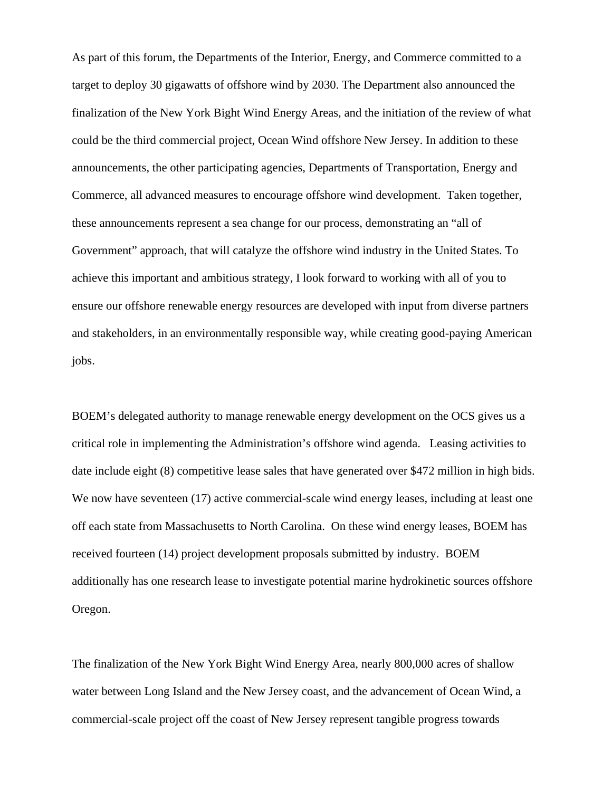As part of this forum, the Departments of the Interior, Energy, and Commerce committed to a target to deploy 30 gigawatts of offshore wind by 2030. The Department also announced the finalization of the New York Bight Wind Energy Areas, and the initiation of the review of what could be the third commercial project, Ocean Wind offshore New Jersey. In addition to these announcements, the other participating agencies, Departments of Transportation, Energy and Commerce, all advanced measures to encourage offshore wind development. Taken together, these announcements represent a sea change for our process, demonstrating an "all of Government" approach, that will catalyze the offshore wind industry in the United States. To achieve this important and ambitious strategy, I look forward to working with all of you to ensure our offshore renewable energy resources are developed with input from diverse partners and stakeholders, in an environmentally responsible way, while creating good-paying American jobs.

BOEM's delegated authority to manage renewable energy development on the OCS gives us a critical role in implementing the Administration's offshore wind agenda. Leasing activities to date include eight (8) competitive lease sales that have generated over \$472 million in high bids. We now have seventeen (17) active commercial-scale wind energy leases, including at least one off each state from Massachusetts to North Carolina. On these wind energy leases, BOEM has received fourteen (14) project development proposals submitted by industry. BOEM additionally has one research lease to investigate potential marine hydrokinetic sources offshore Oregon.

The finalization of the New York Bight Wind Energy Area, nearly 800,000 acres of shallow water between Long Island and the New Jersey coast, and the advancement of Ocean Wind, a commercial-scale project off the coast of New Jersey represent tangible progress towards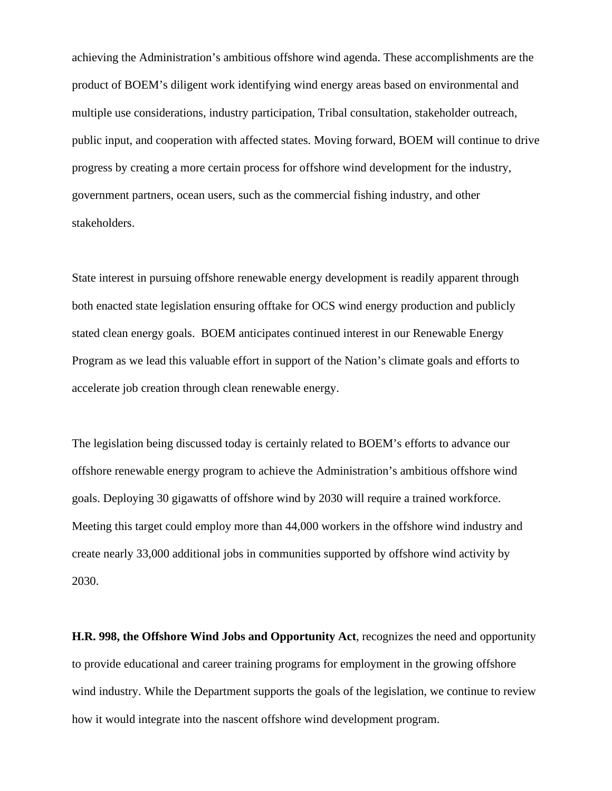achieving the Administration's ambitious offshore wind agenda. These accomplishments are the product of BOEM's diligent work identifying wind energy areas based on environmental and multiple use considerations, industry participation, Tribal consultation, stakeholder outreach, public input, and cooperation with affected states. Moving forward, BOEM will continue to drive progress by creating a more certain process for offshore wind development for the industry, government partners, ocean users, such as the commercial fishing industry, and other stakeholders.

State interest in pursuing offshore renewable energy development is readily apparent through both enacted state legislation ensuring offtake for OCS wind energy production and publicly stated clean energy goals. BOEM anticipates continued interest in our Renewable Energy Program as we lead this valuable effort in support of the Nation's climate goals and efforts to accelerate job creation through clean renewable energy.

The legislation being discussed today is certainly related to BOEM's efforts to advance our offshore renewable energy program to achieve the Administration's ambitious offshore wind goals. Deploying 30 gigawatts of offshore wind by 2030 will require a trained workforce. Meeting this target could employ more than 44,000 workers in the offshore wind industry and create nearly 33,000 additional jobs in communities supported by offshore wind activity by 2030.

**H.R. 998, the Offshore Wind Jobs and Opportunity Act**, recognizes the need and opportunity to provide educational and career training programs for employment in the growing offshore wind industry. While the Department supports the goals of the legislation, we continue to review how it would integrate into the nascent offshore wind development program.

3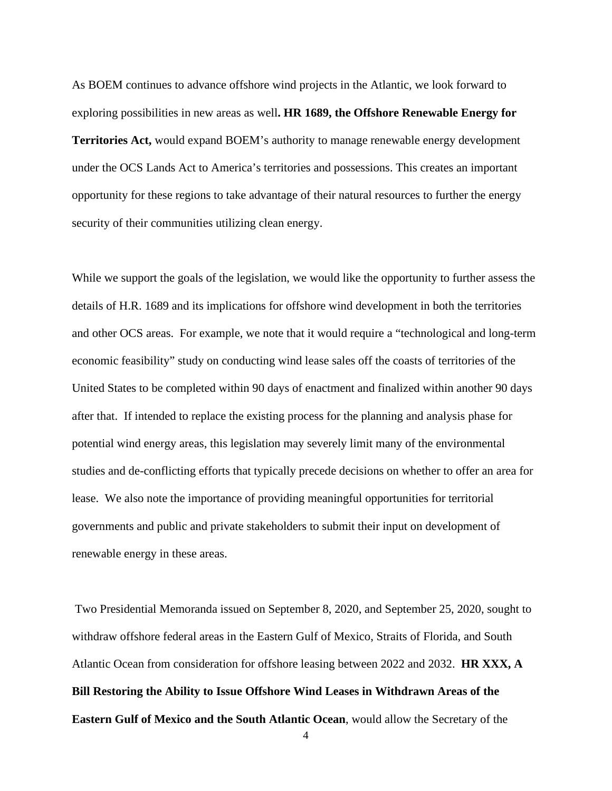As BOEM continues to advance offshore wind projects in the Atlantic, we look forward to exploring possibilities in new areas as well**. HR 1689, the Offshore Renewable Energy for Territories Act,** would expand BOEM's authority to manage renewable energy development under the OCS Lands Act to America's territories and possessions. This creates an important opportunity for these regions to take advantage of their natural resources to further the energy security of their communities utilizing clean energy.

While we support the goals of the legislation, we would like the opportunity to further assess the details of H.R. 1689 and its implications for offshore wind development in both the territories and other OCS areas. For example, we note that it would require a "technological and long-term economic feasibility" study on conducting wind lease sales off the coasts of territories of the United States to be completed within 90 days of enactment and finalized within another 90 days after that. If intended to replace the existing process for the planning and analysis phase for potential wind energy areas, this legislation may severely limit many of the environmental studies and de-conflicting efforts that typically precede decisions on whether to offer an area for lease. We also note the importance of providing meaningful opportunities for territorial governments and public and private stakeholders to submit their input on development of renewable energy in these areas.

Two Presidential Memoranda issued on September 8, 2020, and September 25, 2020, sought to withdraw offshore federal areas in the Eastern Gulf of Mexico, Straits of Florida, and South Atlantic Ocean from consideration for offshore leasing between 2022 and 2032. **HR XXX, A Bill Restoring the Ability to Issue Offshore Wind Leases in Withdrawn Areas of the Eastern Gulf of Mexico and the South Atlantic Ocean**, would allow the Secretary of the